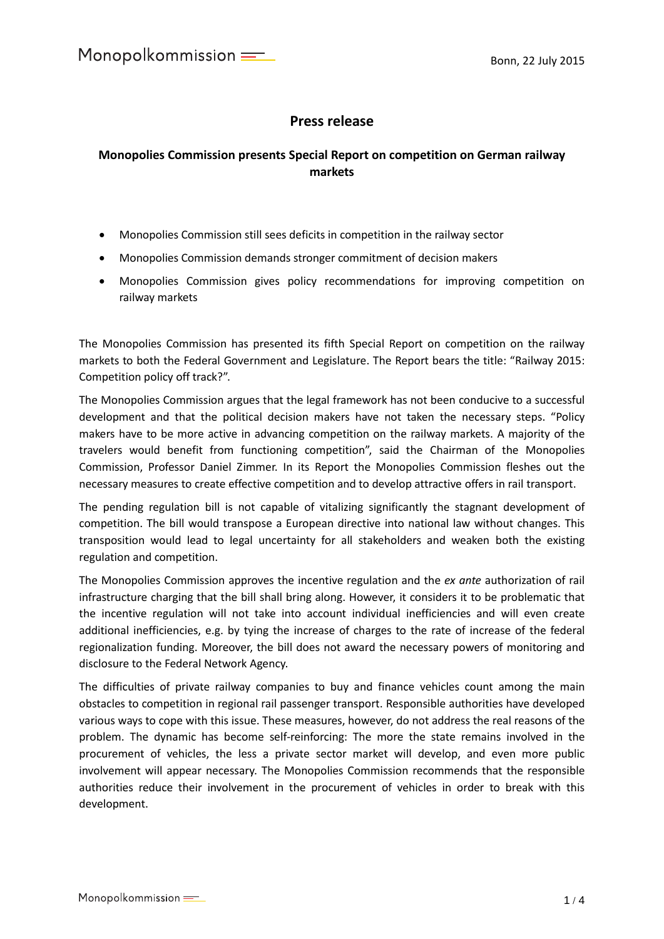## **Press release**

## **Monopolies Commission presents Special Report on competition on German railway markets**

- Monopolies Commission still sees deficits in competition in the railway sector
- Monopolies Commission demands stronger commitment of decision makers
- Monopolies Commission gives policy recommendations for improving competition on railway markets

The Monopolies Commission has presented its fifth Special Report on competition on the railway markets to both the Federal Government and Legislature. The Report bears the title: "Railway 2015: Competition policy off track?".

The Monopolies Commission argues that the legal framework has not been conducive to a successful development and that the political decision makers have not taken the necessary steps. "Policy makers have to be more active in advancing competition on the railway markets. A majority of the travelers would benefit from functioning competition", said the Chairman of the Monopolies Commission, Professor Daniel Zimmer. In its Report the Monopolies Commission fleshes out the necessary measures to create effective competition and to develop attractive offers in rail transport.

The pending regulation bill is not capable of vitalizing significantly the stagnant development of competition. The bill would transpose a European directive into national law without changes. This transposition would lead to legal uncertainty for all stakeholders and weaken both the existing regulation and competition.

The Monopolies Commission approves the incentive regulation and the *ex ante* authorization of rail infrastructure charging that the bill shall bring along. However, it considers it to be problematic that the incentive regulation will not take into account individual inefficiencies and will even create additional inefficiencies, e.g. by tying the increase of charges to the rate of increase of the federal regionalization funding. Moreover, the bill does not award the necessary powers of monitoring and disclosure to the Federal Network Agency.

The difficulties of private railway companies to buy and finance vehicles count among the main obstacles to competition in regional rail passenger transport. Responsible authorities have developed various ways to cope with this issue. These measures, however, do not address the real reasons of the problem. The dynamic has become self-reinforcing: The more the state remains involved in the procurement of vehicles, the less a private sector market will develop, and even more public involvement will appear necessary. The Monopolies Commission recommends that the responsible authorities reduce their involvement in the procurement of vehicles in order to break with this development.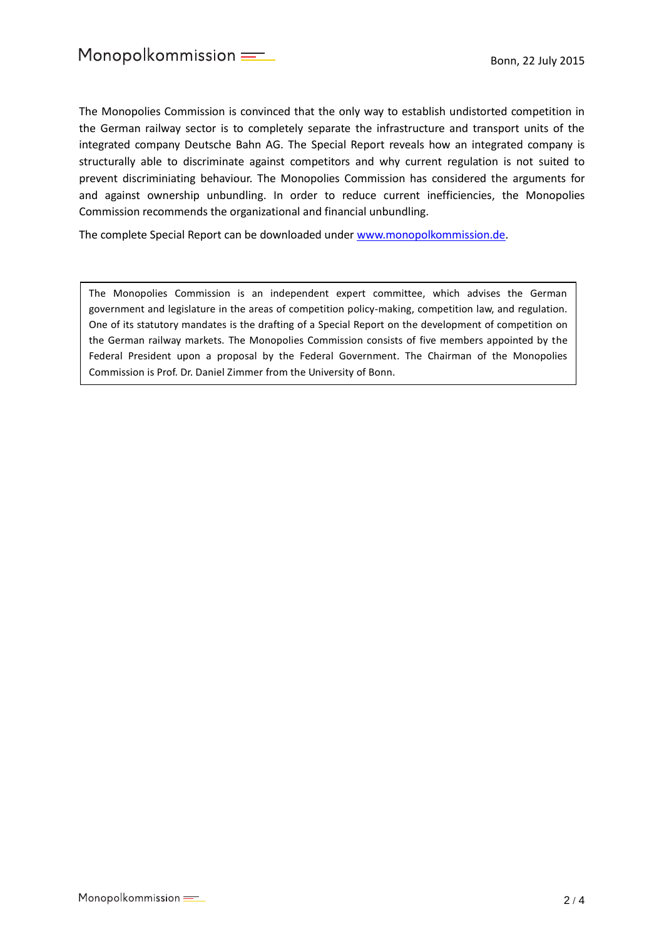The Monopolies Commission is convinced that the only way to establish undistorted competition in the German railway sector is to completely separate the infrastructure and transport units of the integrated company Deutsche Bahn AG. The Special Report reveals how an integrated company is structurally able to discriminate against competitors and why current regulation is not suited to prevent discriminiating behaviour. The Monopolies Commission has considered the arguments for and against ownership unbundling. In order to reduce current inefficiencies, the Monopolies Commission recommends the organizational and financial unbundling.

The complete Special Report can be downloaded under [www.monopolkommission.de.](http://www.monopolkommission.de/)

The Monopolies Commission is an independent expert committee, which advises the German government and legislature in the areas of competition policy-making, competition law, and regulation. One of its statutory mandates is the drafting of a Special Report on the development of competition on the German railway markets. The Monopolies Commission consists of five members appointed by the Federal President upon a proposal by the Federal Government. The Chairman of the Monopolies Commission is Prof. Dr. Daniel Zimmer from the University of Bonn.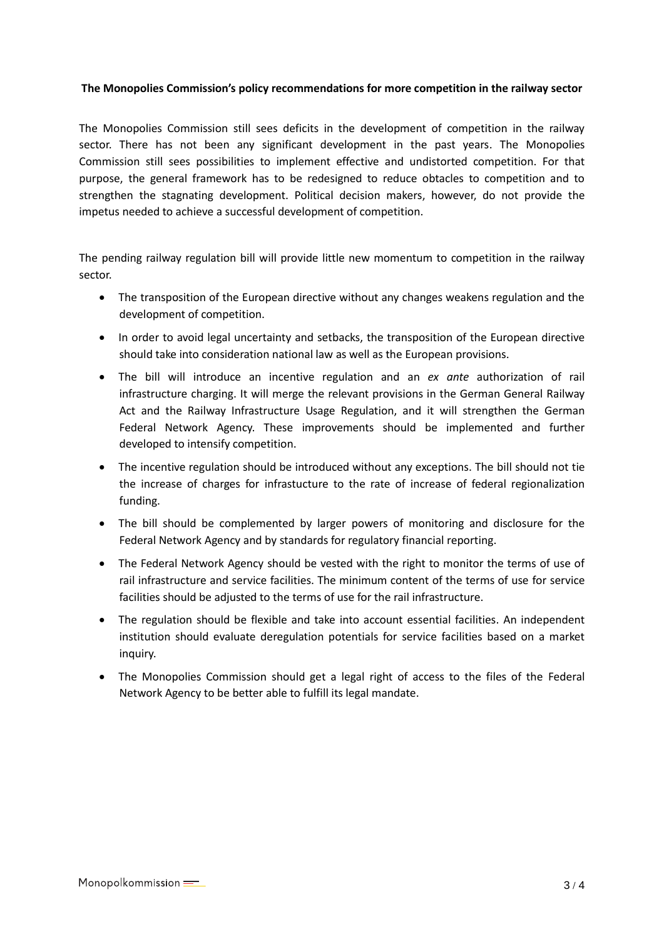## **The Monopolies Commission's policy recommendations for more competition in the railway sector**

The Monopolies Commission still sees deficits in the development of competition in the railway sector. There has not been any significant development in the past years. The Monopolies Commission still sees possibilities to implement effective and undistorted competition. For that purpose, the general framework has to be redesigned to reduce obtacles to competition and to strengthen the stagnating development. Political decision makers, however, do not provide the impetus needed to achieve a successful development of competition.

The pending railway regulation bill will provide little new momentum to competition in the railway sector.

- The transposition of the European directive without any changes weakens regulation and the development of competition.
- In order to avoid legal uncertainty and setbacks, the transposition of the European directive should take into consideration national law as well as the European provisions.
- The bill will introduce an incentive regulation and an *ex ante* authorization of rail infrastructure charging. It will merge the relevant provisions in the German General Railway Act and the Railway Infrastructure Usage Regulation, and it will strengthen the German Federal Network Agency. These improvements should be implemented and further developed to intensify competition.
- The incentive regulation should be introduced without any exceptions. The bill should not tie the increase of charges for infrastucture to the rate of increase of federal regionalization funding.
- The bill should be complemented by larger powers of monitoring and disclosure for the Federal Network Agency and by standards for regulatory financial reporting.
- The Federal Network Agency should be vested with the right to monitor the terms of use of rail infrastructure and service facilities. The minimum content of the terms of use for service facilities should be adjusted to the terms of use for the rail infrastructure.
- The regulation should be flexible and take into account essential facilities. An independent institution should evaluate deregulation potentials for service facilities based on a market inquiry.
- The Monopolies Commission should get a legal right of access to the files of the Federal Network Agency to be better able to fulfill its legal mandate.